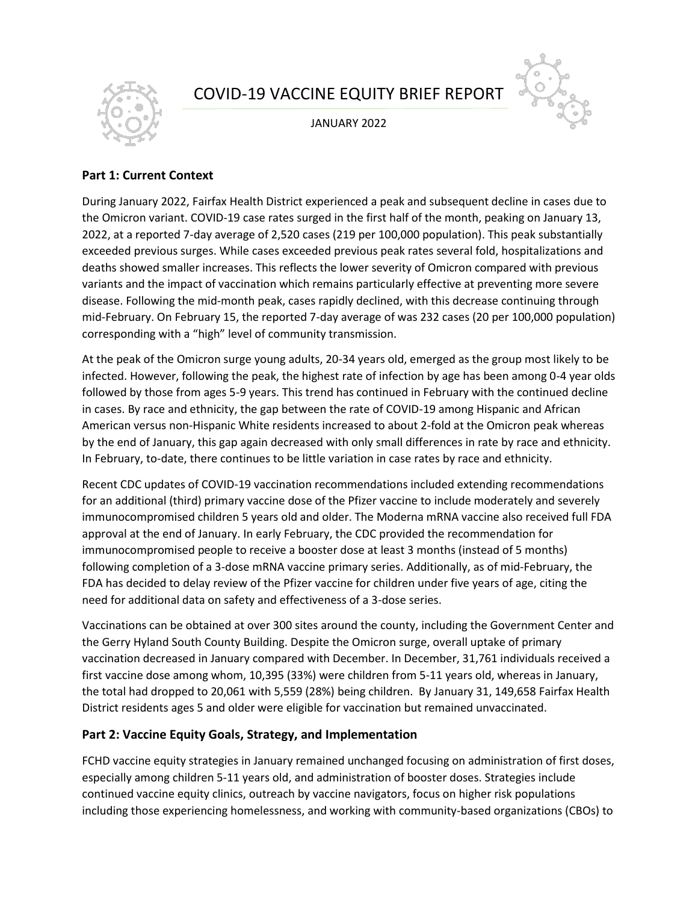# COVID-19 VACCINE EQUITY BRIEF REPORT



JANUARY 2022



### **Part 1: Current Context**

During January 2022, Fairfax Health District experienced a peak and subsequent decline in cases due to the Omicron variant. COVID-19 case rates surged in the first half of the month, peaking on January 13, 2022, at a reported 7-day average of 2,520 cases (219 per 100,000 population). This peak substantially exceeded previous surges. While cases exceeded previous peak rates several fold, hospitalizations and deaths showed smaller increases. This reflects the lower severity of Omicron compared with previous variants and the impact of vaccination which remains particularly effective at preventing more severe disease. Following the mid-month peak, cases rapidly declined, with this decrease continuing through mid-February. On February 15, the reported 7-day average of was 232 cases (20 per 100,000 population) corresponding with a "high" level of community transmission.

At the peak of the Omicron surge young adults, 20-34 years old, emerged as the group most likely to be infected. However, following the peak, the highest rate of infection by age has been among 0-4 year olds followed by those from ages 5-9 years. This trend has continued in February with the continued decline in cases. By race and ethnicity, the gap between the rate of COVID-19 among Hispanic and African American versus non-Hispanic White residents increased to about 2-fold at the Omicron peak whereas by the end of January, this gap again decreased with only small differences in rate by race and ethnicity. In February, to-date, there continues to be little variation in case rates by race and ethnicity.

Recent CDC updates of COVID-19 vaccination recommendations included extending recommendations for an additional (third) primary vaccine dose of the Pfizer vaccine to include moderately and severely immunocompromised children 5 years old and older. The Moderna mRNA vaccine also received full FDA approval at the end of January. In early February, the CDC provided the recommendation for immunocompromised people to receive a booster dose at least 3 months (instead of 5 months) following completion of a 3-dose mRNA vaccine primary series. Additionally, as of mid-February, the FDA has decided to delay review of the Pfizer vaccine for children under five years of age, citing the need for additional data on safety and effectiveness of a 3-dose series.

Vaccinations can be obtained at over 300 sites around the county, including the Government Center and the Gerry Hyland South County Building. Despite the Omicron surge, overall uptake of primary vaccination decreased in January compared with December. In December, 31,761 individuals received a first vaccine dose among whom, 10,395 (33%) were children from 5-11 years old, whereas in January, the total had dropped to 20,061 with 5,559 (28%) being children. By January 31, 149,658 Fairfax Health District residents ages 5 and older were eligible for vaccination but remained unvaccinated.

## **Part 2: Vaccine Equity Goals, Strategy, and Implementation**

FCHD vaccine equity strategies in January remained unchanged focusing on administration of first doses, especially among children 5-11 years old, and administration of booster doses. Strategies include continued vaccine equity clinics, outreach by vaccine navigators, focus on higher risk populations including those experiencing homelessness, and working with community-based organizations (CBOs) to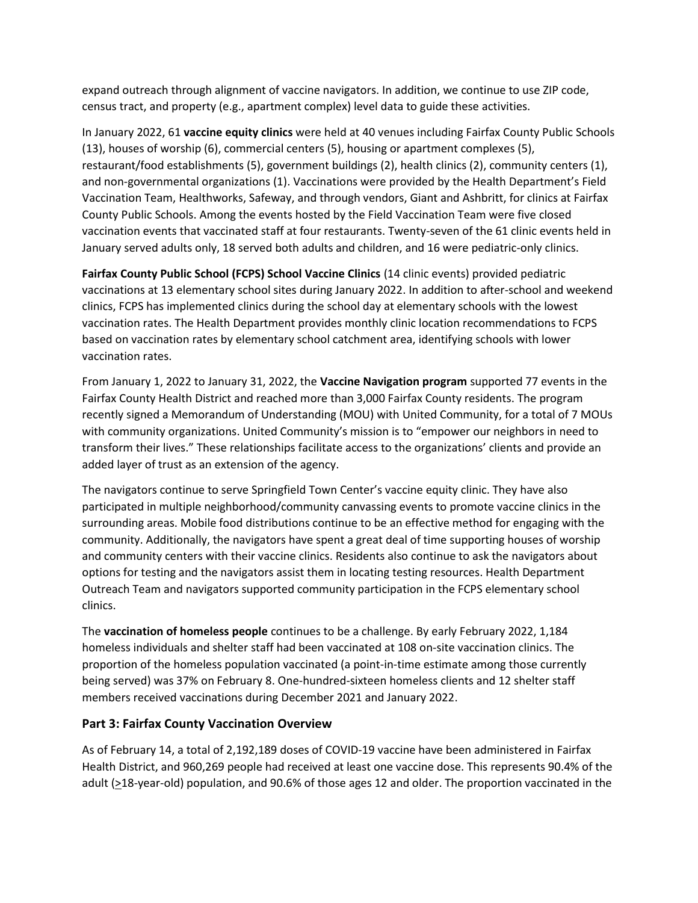expand outreach through alignment of vaccine navigators. In addition, we continue to use ZIP code, census tract, and property (e.g., apartment complex) level data to guide these activities.

In January 2022, 61 **vaccine equity clinics** were held at 40 venues including Fairfax County Public Schools (13), houses of worship (6), commercial centers (5), housing or apartment complexes (5), restaurant/food establishments (5), government buildings (2), health clinics (2), community centers (1), and non-governmental organizations (1). Vaccinations were provided by the Health Department's Field Vaccination Team, Healthworks, Safeway, and through vendors, Giant and Ashbritt, for clinics at Fairfax County Public Schools. Among the events hosted by the Field Vaccination Team were five closed vaccination events that vaccinated staff at four restaurants. Twenty-seven of the 61 clinic events held in January served adults only, 18 served both adults and children, and 16 were pediatric-only clinics.

**Fairfax County Public School (FCPS) School Vaccine Clinics** (14 clinic events) provided pediatric vaccinations at 13 elementary school sites during January 2022. In addition to after-school and weekend clinics, FCPS has implemented clinics during the school day at elementary schools with the lowest vaccination rates. The Health Department provides monthly clinic location recommendations to FCPS based on vaccination rates by elementary school catchment area, identifying schools with lower vaccination rates.

From January 1, 2022 to January 31, 2022, the **Vaccine Navigation program** supported 77 events in the Fairfax County Health District and reached more than 3,000 Fairfax County residents. The program recently signed a Memorandum of Understanding (MOU) with United Community, for a total of 7 MOUs with community organizations. United Community's mission is to "empower our neighbors in need to transform their lives." These relationships facilitate access to the organizations' clients and provide an added layer of trust as an extension of the agency.

The navigators continue to serve Springfield Town Center's vaccine equity clinic. They have also participated in multiple neighborhood/community canvassing events to promote vaccine clinics in the surrounding areas. Mobile food distributions continue to be an effective method for engaging with the community. Additionally, the navigators have spent a great deal of time supporting houses of worship and community centers with their vaccine clinics. Residents also continue to ask the navigators about options for testing and the navigators assist them in locating testing resources. Health Department Outreach Team and navigators supported community participation in the FCPS elementary school clinics.

The **vaccination of homeless people** continues to be a challenge. By early February 2022, 1,184 homeless individuals and shelter staff had been vaccinated at 108 on-site vaccination clinics. The proportion of the homeless population vaccinated (a point-in-time estimate among those currently being served) was 37% on February 8. One-hundred-sixteen homeless clients and 12 shelter staff members received vaccinations during December 2021 and January 2022.

#### **Part 3: Fairfax County Vaccination Overview**

As of February 14, a total of 2,192,189 doses of COVID-19 vaccine have been administered in Fairfax Health District, and 960,269 people had received at least one vaccine dose. This represents 90.4% of the adult ( $\geq$ 18-year-old) population, and 90.6% of those ages 12 and older. The proportion vaccinated in the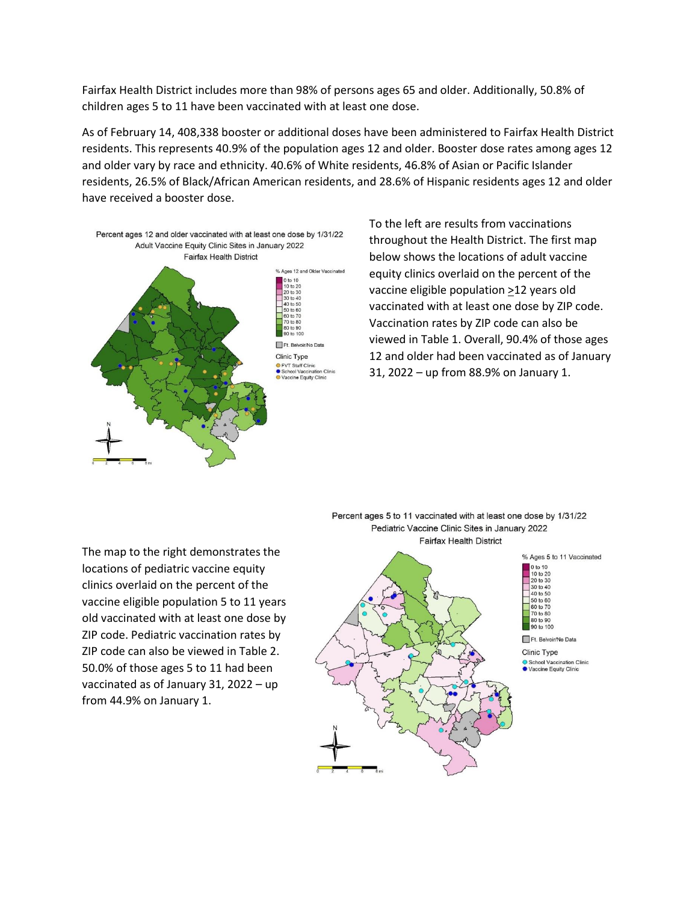Fairfax Health District includes more than 98% of persons ages 65 and older. Additionally, 50.8% of children ages 5 to 11 have been vaccinated with at least one dose.

As of February 14, 408,338 booster or additional doses have been administered to Fairfax Health District residents. This represents 40.9% of the population ages 12 and older. Booster dose rates among ages 12 and older vary by race and ethnicity. 40.6% of White residents, 46.8% of Asian or Pacific Islander residents, 26.5% of Black/African American residents, and 28.6% of Hispanic residents ages 12 and older have received a booster dose.



To the left are results from vaccinations throughout the Health District. The first map below shows the locations of adult vaccine equity clinics overlaid on the percent of the vaccine eligible population >12 years old vaccinated with at least one dose by ZIP code. Vaccination rates by ZIP code can also be viewed in Table 1. Overall, 90.4% of those ages 12 and older had been vaccinated as of January 31, 2022 – up from 88.9% on January 1.

The map to the right demonstrates the locations of pediatric vaccine equity clinics overlaid on the percent of the vaccine eligible population 5 to 11 years old vaccinated with at least one dose by ZIP code. Pediatric vaccination rates by ZIP code can also be viewed in Table 2. 50.0% of those ages 5 to 11 had been vaccinated as of January 31, 2022 – up from 44.9% on January 1.



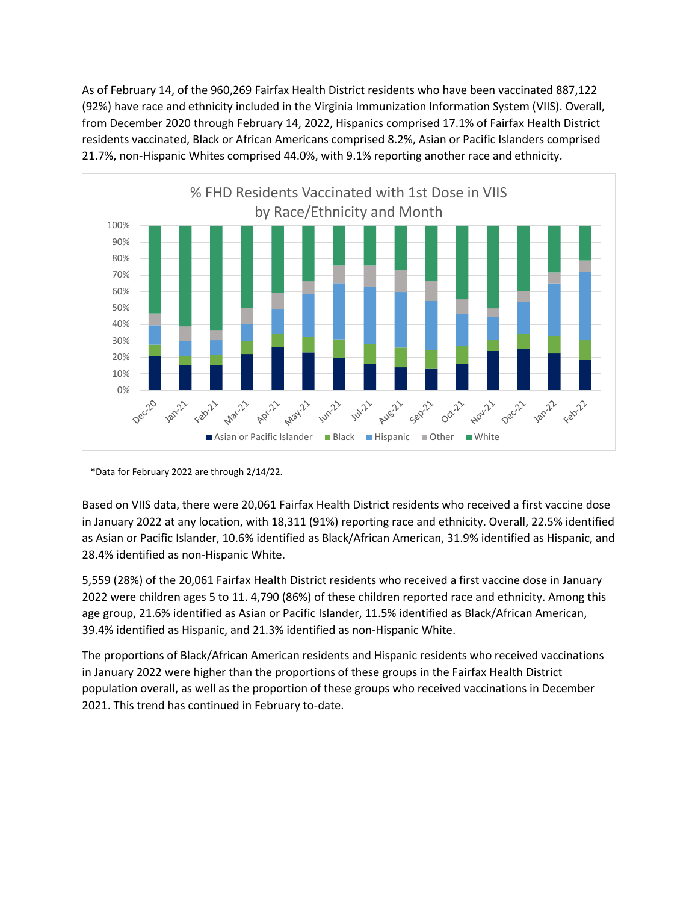As of February 14, of the 960,269 Fairfax Health District residents who have been vaccinated 887,122 (92%) have race and ethnicity included in the Virginia Immunization Information System (VIIS). Overall, from December 2020 through February 14, 2022, Hispanics comprised 17.1% of Fairfax Health District residents vaccinated, Black or African Americans comprised 8.2%, Asian or Pacific Islanders comprised 21.7%, non-Hispanic Whites comprised 44.0%, with 9.1% reporting another race and ethnicity.



\*Data for February 2022 are through 2/14/22.

Based on VIIS data, there were 20,061 Fairfax Health District residents who received a first vaccine dose in January 2022 at any location, with 18,311 (91%) reporting race and ethnicity. Overall, 22.5% identified as Asian or Pacific Islander, 10.6% identified as Black/African American, 31.9% identified as Hispanic, and 28.4% identified as non-Hispanic White.

5,559 (28%) of the 20,061 Fairfax Health District residents who received a first vaccine dose in January 2022 were children ages 5 to 11. 4,790 (86%) of these children reported race and ethnicity. Among this age group, 21.6% identified as Asian or Pacific Islander, 11.5% identified as Black/African American, 39.4% identified as Hispanic, and 21.3% identified as non-Hispanic White.

The proportions of Black/African American residents and Hispanic residents who received vaccinations in January 2022 were higher than the proportions of these groups in the Fairfax Health District population overall, as well as the proportion of these groups who received vaccinations in December 2021. This trend has continued in February to-date.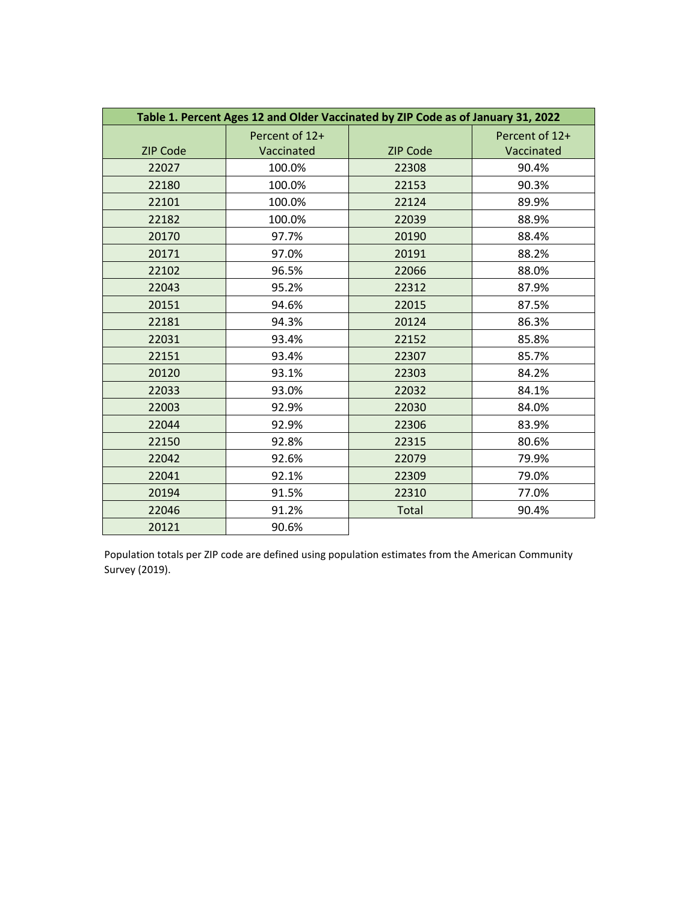| Table 1. Percent Ages 12 and Older Vaccinated by ZIP Code as of January 31, 2022 |                |                 |                |
|----------------------------------------------------------------------------------|----------------|-----------------|----------------|
|                                                                                  | Percent of 12+ |                 | Percent of 12+ |
| <b>ZIP Code</b>                                                                  | Vaccinated     | <b>ZIP Code</b> | Vaccinated     |
| 22027                                                                            | 100.0%         | 22308           | 90.4%          |
| 22180                                                                            | 100.0%         | 22153           | 90.3%          |
| 22101                                                                            | 100.0%         | 22124           | 89.9%          |
| 22182                                                                            | 100.0%         | 22039           | 88.9%          |
| 20170                                                                            | 97.7%          | 20190           | 88.4%          |
| 20171                                                                            | 97.0%          | 20191           | 88.2%          |
| 22102                                                                            | 96.5%          | 22066           | 88.0%          |
| 22043                                                                            | 95.2%          | 22312           | 87.9%          |
| 20151                                                                            | 94.6%          | 22015           | 87.5%          |
| 22181                                                                            | 94.3%          | 20124           | 86.3%          |
| 22031                                                                            | 93.4%          | 22152           | 85.8%          |
| 22151                                                                            | 93.4%          | 22307           | 85.7%          |
| 20120                                                                            | 93.1%          | 22303           | 84.2%          |
| 22033                                                                            | 93.0%          | 22032           | 84.1%          |
| 22003                                                                            | 92.9%          | 22030           | 84.0%          |
| 22044                                                                            | 92.9%          | 22306           | 83.9%          |
| 22150                                                                            | 92.8%          | 22315           | 80.6%          |
| 22042                                                                            | 92.6%          | 22079           | 79.9%          |
| 22041                                                                            | 92.1%          | 22309           | 79.0%          |
| 20194                                                                            | 91.5%          | 22310           | 77.0%          |
| 22046                                                                            | 91.2%          | <b>Total</b>    | 90.4%          |
| 20121                                                                            | 90.6%          |                 |                |

Population totals per ZIP code are defined using population estimates from the American Community Survey (2019).